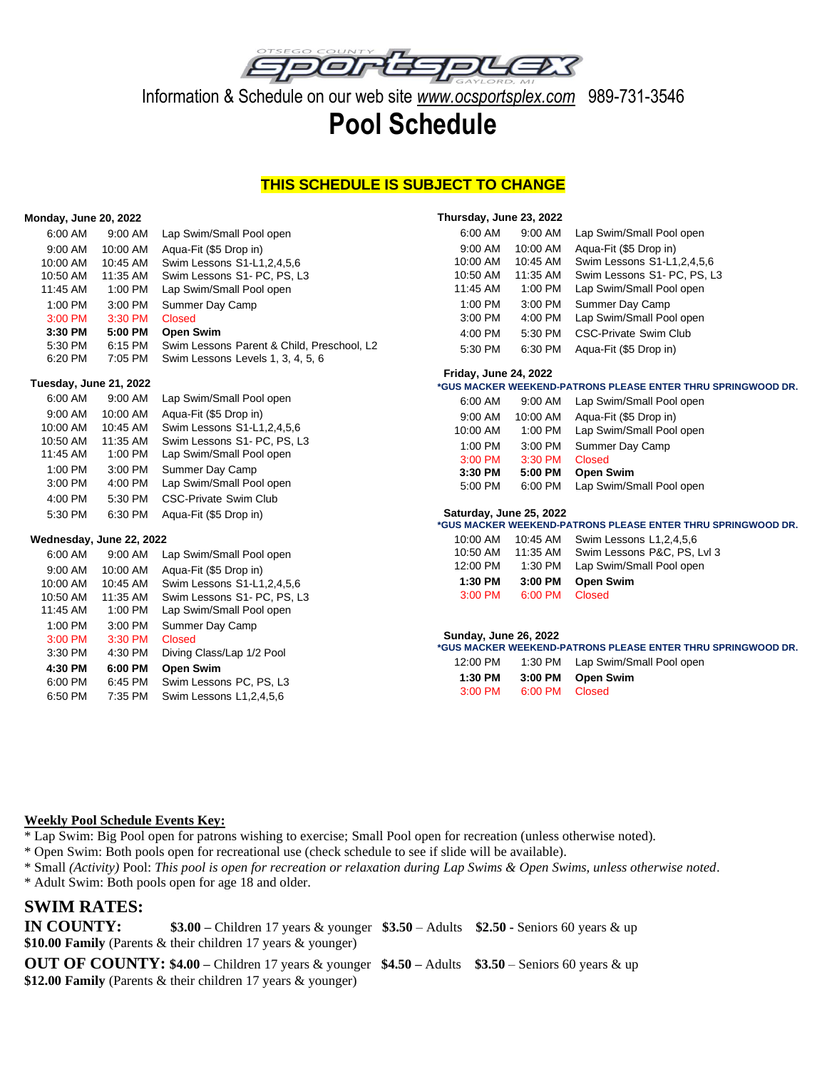

Information & Schedule on our web site *www.ocsportsplex.com* 989-731-3546

# **Pool Schedule**

### **THIS SCHEDULE IS SUBJECT TO CHANGE**

**Thursday, June 23, 2022**

#### **Monday, June 20, 2022**

| 6:00 AM                           | 9:00 AM             | Lap Swim/Small Pool open                                                        | 6:00 AM                                                                                 | 9:00 AM                      | Lap Swim/Small Pool open       |  |  |
|-----------------------------------|---------------------|---------------------------------------------------------------------------------|-----------------------------------------------------------------------------------------|------------------------------|--------------------------------|--|--|
| 9:00 AM                           | 10:00 AM            | Aqua-Fit (\$5 Drop in)                                                          | 9:00 AM                                                                                 | 10:00 AM                     | Agua-Fit (\$5 Drop in)         |  |  |
| 10:00 AM                          | 10:45 AM            | Swim Lessons S1-L1, 2, 4, 5, 6                                                  | 10:00 AM                                                                                | 10:45 AM                     | Swim Lessons S1-L1, 2, 4, 5, 6 |  |  |
| 10:50 AM                          | 11:35 AM            | Swim Lessons S1- PC, PS, L3                                                     | 10:50 AM                                                                                | 11:35 AM                     | Swim Lessons S1- PC, PS, L3    |  |  |
| 11:45 AM                          | 1:00 PM             | Lap Swim/Small Pool open                                                        | 11:45 AM                                                                                | 1:00 PM                      | Lap Swim/Small Pool open       |  |  |
| 1:00 PM                           | 3:00 PM             | Summer Day Camp                                                                 | 1:00 PM                                                                                 | 3:00 PM                      | Summer Day Camp                |  |  |
| 3:00 PM                           | 3:30 PM             | <b>Closed</b>                                                                   | 3:00 PM                                                                                 | 4:00 PM                      | Lap Swim/Small Pool open       |  |  |
| 3:30 PM                           | 5:00 PM             | <b>Open Swim</b>                                                                | 4:00 PM                                                                                 | 5:30 PM                      | CSC-Private Swim Club          |  |  |
| 5:30 PM<br>6:20 PM                | 6:15 PM<br>7:05 PM  | Swim Lessons Parent & Child, Preschool, L2<br>Swim Lessons Levels 1, 3, 4, 5, 6 | 5:30 PM                                                                                 | 6:30 PM                      | Aqua-Fit (\$5 Drop in)         |  |  |
|                                   |                     |                                                                                 | <b>Friday, June 24, 2022</b>                                                            |                              |                                |  |  |
| Tuesday, June 21, 2022<br>6:00 AM |                     |                                                                                 | *GUS MACKER WEEKEND-PATRONS PLEASE ENTER THRU SPRINGWOOD DR.                            |                              |                                |  |  |
|                                   | 9:00 AM             | Lap Swim/Small Pool open                                                        | 6:00 AM                                                                                 | 9:00 AM                      | Lap Swim/Small Pool open       |  |  |
| 9:00 AM                           | 10:00 AM            | Aqua-Fit (\$5 Drop in)                                                          | 9:00 AM                                                                                 | 10:00 AM                     | Agua-Fit (\$5 Drop in)         |  |  |
| 10:00 AM                          | 10:45 AM            | Swim Lessons S1-L1, 2, 4, 5, 6                                                  | 10:00 AM                                                                                | 1:00 PM                      | Lap Swim/Small Pool open       |  |  |
| 10:50 AM<br>11:45 AM              | 11:35 AM<br>1:00 PM | Swim Lessons S1- PC, PS, L3<br>Lap Swim/Small Pool open                         | 1:00 PM                                                                                 | 3:00 PM                      | Summer Day Camp                |  |  |
|                                   |                     |                                                                                 | 3:00 PM                                                                                 | 3:30 PM                      | <b>Closed</b>                  |  |  |
| 1:00 PM                           | 3:00 PM             | Summer Day Camp                                                                 | 3:30 PM                                                                                 | 5:00 PM                      | <b>Open Swim</b>               |  |  |
| 3:00 PM                           | 4:00 PM             | Lap Swim/Small Pool open                                                        | 5:00 PM                                                                                 | 6:00 PM                      | Lap Swim/Small Pool open       |  |  |
| 4:00 PM                           | 5:30 PM             | CSC-Private Swim Club                                                           |                                                                                         |                              |                                |  |  |
| 5:30 PM                           | 6:30 PM             | Aqua-Fit (\$5 Drop in)                                                          | Saturday, June 25, 2022<br>*GUS MACKER WEEKEND-PATRONS PLEASE ENTER THRU SPRINGWOOD DR. |                              |                                |  |  |
| Wednesday, June 22, 2022          |                     |                                                                                 | 10:00 AM                                                                                | 10:45 AM                     | Swim Lessons L1,2,4,5,6        |  |  |
| 6:00 AM                           | 9:00 AM             | Lap Swim/Small Pool open                                                        | 10:50 AM                                                                                | 11:35 AM                     | Swim Lessons P&C, PS, Lvl 3    |  |  |
| 9:00 AM                           | 10:00 AM            | Aqua-Fit (\$5 Drop in)                                                          | 12:00 PM                                                                                | 1:30 PM                      | Lap Swim/Small Pool open       |  |  |
| 10:00 AM                          | 10:45 AM            | Swim Lessons S1-L1, 2, 4, 5, 6                                                  | 1:30 PM                                                                                 | 3:00 PM                      | <b>Open Swim</b>               |  |  |
| 10:50 AM                          | 11:35 AM            | Swim Lessons S1- PC, PS, L3                                                     | 3:00 PM                                                                                 | 6:00 PM                      | <b>Closed</b>                  |  |  |
| 11:45 AM                          | 1:00 PM             | Lap Swim/Small Pool open                                                        |                                                                                         |                              |                                |  |  |
| 1:00 PM                           | 3:00 PM             | Summer Day Camp                                                                 |                                                                                         |                              |                                |  |  |
| 3:00 PM                           | 3:30 PM             | <b>Closed</b>                                                                   |                                                                                         | <b>Sunday, June 26, 2022</b> |                                |  |  |
| 3:30 PM                           | 4:30 PM             | Diving Class/Lap 1/2 Pool                                                       | *GUS MACKER WEEKEND-PATRONS PLEASE ENTER THRU SPRINGWOOD DR.                            |                              |                                |  |  |

|           |                | *GUS MACKER WEEKEND-PATRONS PLEASE ENTER THRU SPRINGWOOD DR. |
|-----------|----------------|--------------------------------------------------------------|
| 12:00 PM  |                | 1:30 PM Lap Swim/Small Pool open                             |
| 1:30 PM   |                | 3:00 PM Open Swim                                            |
| $3:00$ PM | 6:00 PM Closed |                                                              |

### **Weekly Pool Schedule Events Key:**

**4:30 PM 6:00 PM Open Swim**

6:45 PM Swim Lessons PC, PS. L3

6:50 PM 7:35 PM Swim Lessons L1,2,4,5,6

\* Lap Swim: Big Pool open for patrons wishing to exercise; Small Pool open for recreation (unless otherwise noted).

\* Open Swim: Both pools open for recreational use (check schedule to see if slide will be available).

\* Small *(Activity)* Pool: *This pool is open for recreation or relaxation during Lap Swims & Open Swims, unless otherwise noted*.

\* Adult Swim: Both pools open for age 18 and older.

### **SWIM RATES:**

**IN COUNTY: \$3.00 –** Children 17 years & younger **\$3.50** – Adults **\$2.50 -** Seniors 60 years & up **\$10.00 Family** (Parents & their children 17 years & younger)

**OUT OF COUNTY: \$4.00 –** Children 17 years & younger **\$4.50 –** Adults **\$3.50** – Seniors 60 years & up **\$12.00 Family** (Parents & their children 17 years & younger)